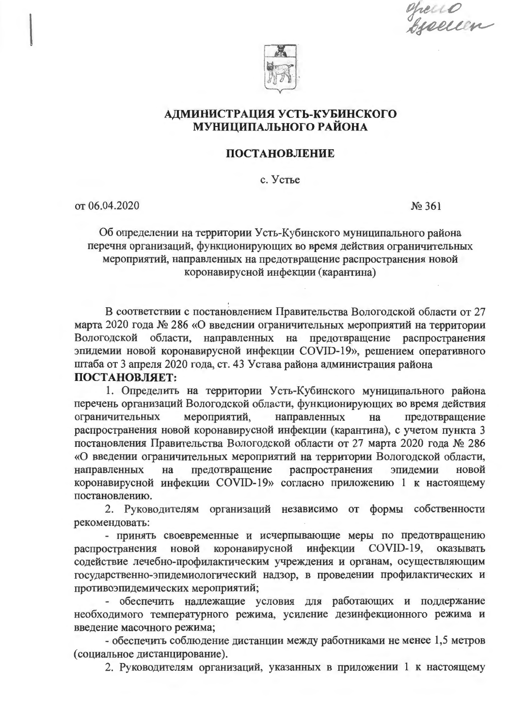epecio<br>bjællen



# АДМИНИСТРАЦИЯ УСТЬ-КУБИНСКОГО МУНИЦИПАЛЬНОГО РАЙОНА

## **ПОСТАНОВЛЕНИЕ**

с. Устье

от 06.04.2020

No 361

Об определении на территории Усть-Кубинского муниципального района перечня организаций, функционирующих во время действия ограничительных мероприятий, направленных на предотвращение распространения новой коронавирусной инфекции (карантина)

В соответствии с постановлением Правительства Вологодской области от 27 марта 2020 года № 286 «О введении ограничительных мероприятий на территории Вологодской области, направленных на предотвращение распространения эпидемии новой коронавирусной инфекции COVID-19», решением оперативного штаба от 3 апреля 2020 года, ст. 43 Устава района администрация района ПОСТАНОВЛЯЕТ:

1. Определить на территории Усть-Кубинского муниципального района перечень организаций Вологодской области, функционирующих во время действия ограничительных направленных мероприятий, на предотвращение распространения новой коронавирусной инфекции (карантина), с учетом пункта 3 постановления Правительства Вологодской области от 27 марта 2020 года № 286 «О введении ограничительных мероприятий на территории Вологодской области, направленных на предотвращение распространения эпидемии новой коронавирусной инфекции COVID-19» согласно приложению 1 к настоящему постановлению.

2. Руководителям организаций независимо от формы собственности рекомендовать:

- принять своевременные и исчерпывающие меры по предотвращению новой коронавирусной инфекции COVID-19, оказывать распространения содействие лечебно-профилактическим учреждения и органам, осуществляющим государственно-эпидемиологический надзор, в проведении профилактических и противоэпидемических мероприятий;

- обеспечить надлежащие условия для работающих и поддержание необходимого температурного режима, усиление дезинфекционного режима и введение масочного режима;

- обеспечить соблюдение дистанции между работниками не менее 1,5 метров (социальное дистанцирование).

2. Руководителям организаций, указанных в приложении 1 к настоящему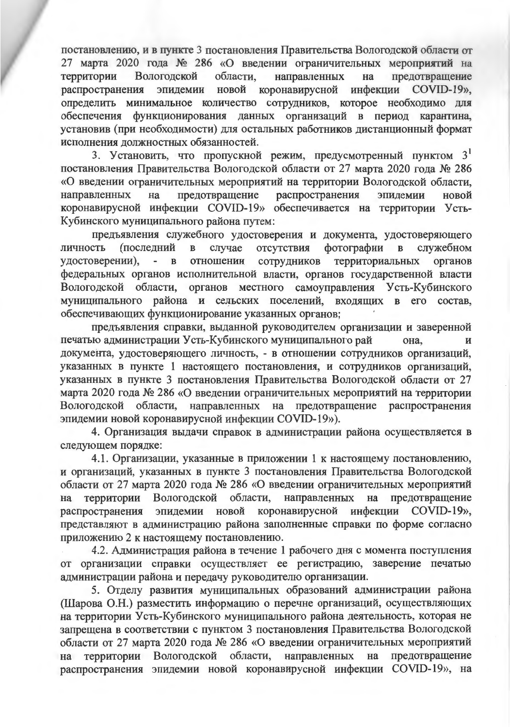постановлению, и в пункте 3 постановления Правительства Вологодской области от 27 марта 2020 года № 286 «О введении ограничительных мероприятий на области. направленных предотвращение территории Вологодской на новой коронавирусной инфекции COVID-19», распространения эпидемии определить минимальное количество сотрудников, которое необходимо для обеспечения функционирования данных организаций в период карантина, установив (при необходимости) для остальных работников дистанционный формат исполнения должностных обязанностей.

3. Установить, что пропускной режим, предусмотренный пунктом  $3^1$ постановления Правительства Вологодской области от 27 марта 2020 года № 286 «О введении ограничительных мероприятий на территории Вологодской области, предотвращение распространения эпилемии направленных на новой коронавирусной инфекции COVID-19» обеспечивается на территории Усть-Кубинского муниципального района путем:

предъявления служебного удостоверения и документа, удостоверяющего (последний фотографии в служебном  $\mathbf{B}$ случае отсутствия личность территориальных удостоверении).  $\overline{\phantom{0}}$ отношении сотрудников органов  $\mathbf{B}$ федеральных органов исполнительной власти, органов государственной власти Вологодской области, органов местного самоуправления Усть-Кубинского муниципального района и сельских поселений, входящих в его состав, обеспечивающих функционирование указанных органов;

предъявления справки, выданной руководителем организации и заверенной печатью администрации Усть-Кубинского муниципального рай она. И документа, удостоверяющего личность, - в отношении сотрудников организаций, указанных в пункте 1 настоящего постановления, и сотрудников организаций, указанных в пункте 3 постановления Правительства Вологодской области от 27 марта 2020 года № 286 «О введении ограничительных мероприятий на территории Вологодской области, направленных на предотвращение распространения эпидемии новой коронавирусной инфекции COVID-19»).

4. Организация выдачи справок в администрации района осуществляется в следующем порядке:

4.1. Организации, указанные в приложении 1 к настоящему постановлению. и организаций, указанных в пункте 3 постановления Правительства Вологодской области от 27 марта 2020 года № 286 «О введении ограничительных мероприятий территории Вологодской области, направленных на предотвращение на эпидемии новой коронавирусной инфекции COVID-19», распространения представляют в администрацию района заполненные справки по форме согласно приложению 2 к настоящему постановлению.

4.2. Администрация района в течение 1 рабочего дня с момента поступления от организации справки осуществляет ее регистрацию, заверение печатью администрации района и передачу руководителю организации.

5. Отделу развития муниципальных образований администрации района (Шарова О.Н.) разместить информацию о перечне организаций, осуществляющих на территории Усть-Кубинского муниципального района деятельность, которая не запрещена в соответствии с пунктом 3 постановления Правительства Вологодской области от 27 марта 2020 года № 286 «О введении ограничительных мероприятий на территории Вологодской области, направленных на предотвращение распространения эпидемии новой коронавирусной инфекции COVID-19», на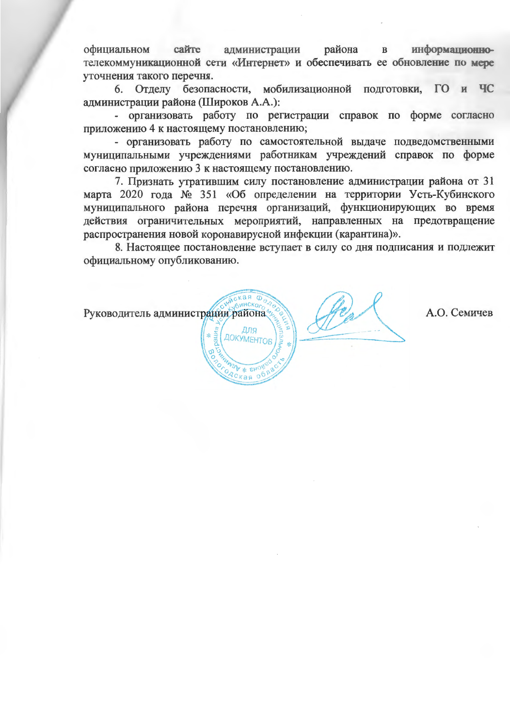администрации района информационноофициальном сайте  $\mathbf{B}$ телекоммуникационной сети «Интернет» и обеспечивать ее обновление по мере уточнения такого перечня.

6. Отделу безопасности, мобилизационной подготовки, ГО и ЧС алминистрации района (Широков А.А.):

- организовать работу по регистрации справок по форме согласно приложению 4 к настоящему постановлению;

- организовать работу по самостоятельной выдаче подведомственными муниципальными учреждениями работникам учреждений справок по форме согласно приложению 3 к настоящему постановлению.

7. Признать утратившим силу постановление администрации района от 31 марта 2020 года № 351 «Об определении на территории Усть-Кубинского муниципального района перечня организаций, функционирующих во время действия ограничительных мероприятий, направленных на предотвращение распространения новой коронавирусной инфекции (карантина)».

8. Настоящее постановление вступает в силу со дня подписания и подлежит официальному опубликованию.

Руководитель администрации района ДЛЯ ДОКУМЕНТОВ

А.О. Семичев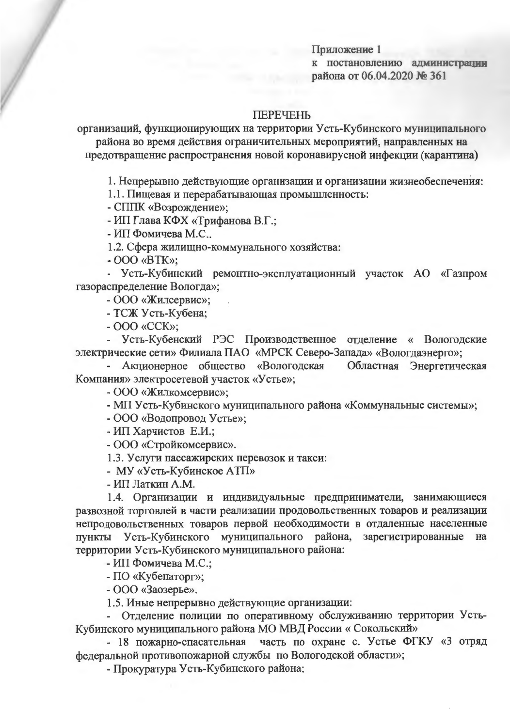Приложение 1 к постановлению администрации района от 06.04.2020 № 361

#### **ПЕРЕЧЕНЬ**

организаций, функционирующих на территории Усть-Кубинского муниципального района во время действия ограничительных мероприятий, направленных на предотвращение распространения новой коронавирусной инфекции (карантина)

1. Непрерывно действующие организации и организации жизнеобеспечения:

1.1. Пишевая и перерабатывающая промышленность:

- СППК «Возрождение»;

- ИП Глава КФХ «Трифанова В.Г.;

- ИП Фомичева М.С..

1.2. Сфера жилищно-коммунального хозяйства:

 $-000$  «BTK»;

- Усть-Кубинский ремонтно-эксплуатационный участок АО «Газпром газораспределение Вологда»;

- ООО «Жилсервис»;

- ТСЖ Усть-Кубена;

 $-$  OOO «CCK»;

- Усть-Кубенский РЭС Производственное отделение « Вологодские электрические сети» Филиала ПАО «МРСК Северо-Запада» «Вологдаэнерго»;

- Акционерное общество «Вологодская Областная Энергетическая Компания» электросетевой участок «Устье»;

- ООО «Жилкомсервис»;

- МП Усть-Кубинского муниципального района «Коммунальные системы»;

- ООО «Водопровод Устье»;

- ИП Харчистов Е.И.;

- ООО «Стройкомсервис».

1.3. Услуги пассажирских перевозок и такси:

- МУ «Усть-Кубинское АТП»

- ИП Латкин А.М.

1.4. Организации и индивидуальные предприниматели, занимающиеся развозной торговлей в части реализации продовольственных товаров и реализации непродовольственных товаров первой необходимости в отдаленные населенные пункты Усть-Кубинского муниципального района, зарегистрированные на территории Усть-Кубинского муниципального района:

- ИП Фомичева М.С.;

- ПО «Кубенаторг»;

- ООО «Заозерье».

1.5. Иные непрерывно действующие организации:

- Отделение полиции по оперативному обслуживанию территории Усть-Кубинского муниципального района МО МВД России «Сокольский»

- 18 пожарно-спасательная часть по охране с. Устье ФГКУ «3 отряд федеральной противопожарной службы по Вологодской области»;

- Прокуратура Усть-Кубинского района;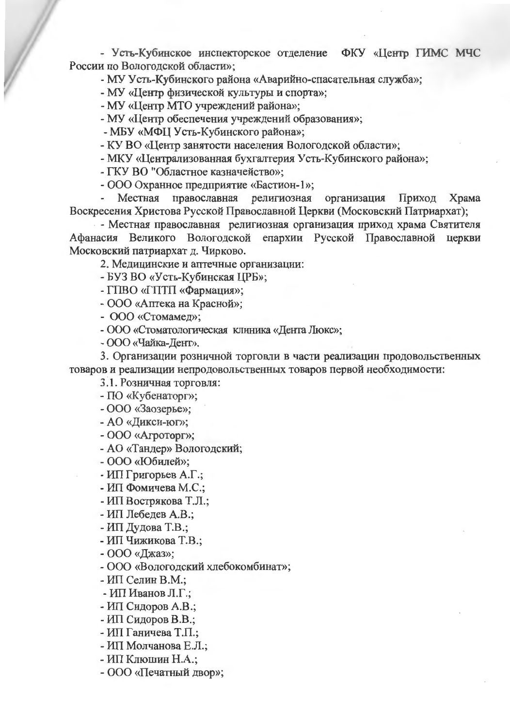- Усть-Кубинское инспекторское отделение ФКУ «Центр ГИМС МЧС России по Вологодской области»;

- МУ Усть-Кубинского района «Аварийно-спасательная служба»;

- МУ «Центр физической культуры и спорта»;

- МУ «Центр МТО учреждений района»;

- МУ «Центр обеспечения учреждений образования»;

- МБУ «МФЦ Усть-Кубинского района»;

- КУ ВО «Центр занятости населения Вологодской области»;

- МКУ «Централизованная бухгалтерия Усть-Кубинского района»;

- ГКУ ВО "Областное казначейство»:

- ООО Охранное предприятие «Бастион-1»;

Местная православная религиозная организация Приход Храма Воскресения Христова Русской Православной Церкви (Московский Патриархат);

- Местная православная религиозная организация приход храма Святителя Афанасия Великого Вологодской епархии Русской Православной церкви Московский патриархат д. Чирково.

2. Медицинские и аптечные организации:

- БУЗ ВО «Усть-Кубинская ЦРБ»;

- ГПВО «ГПТП «Фармация»;

- ООО «Аптека на Красной»;

- ООО «Стомамед»;

- ООО «Стоматологическая клиника «Дента Люкс»;

- ООО «Чайка-Дент».

3. Организации розничной торговли в части реализации продовольственных товаров и реализации непродовольственных товаров первой необходимости:

3.1. Розничная торговля:

- ПО «Кубенаторг»;

- ООО «Заозерье»;

- АО «Дикси-юг»;

- ООО «Агроторг»;

- АО «Тандер» Вологодский;

- ООО «Юбилей»;

- ИП Григорьев А.Г.;

- ИП Фомичева М.С.;

- ИП Вострякова Т.Л.;

- ИП Лебедев А.В.;

- ИП Дудова Т.В.;

- ИП Чижикова Т.В.;

- ООО «Джаз»;

- ООО «Вологодский хлебокомбинат»;

- ИП Селин В.М.;

- ИП Иванов Л.Г.:

- ИП Сидоров А.В.;

- ИП Сидоров В.В.;

- ИП Ганичева Т.П.;

- ИП Молчанова Е.Л.;

- ИП Клюшин Н.А.;

- ООО «Печатный двор»;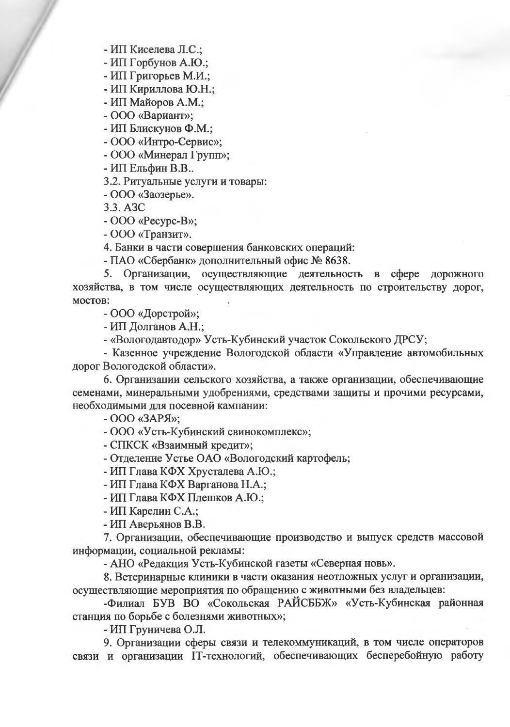- ИП Киселева Л.С.:

- ИП Горбунов А.Ю.;

- ИП Григорьев М.И.;

- ИП Кириллова Ю.Н.;

- ИП Майоров А.М.;

- ООО «Вариант»;

- ИП Блискунов Ф.М.;

- ООО «Интро-Сервис»;

- ООО «Минерал Групп»;

- ИП Ельфин В.В..

3.2. Ритуальные услуги и товары:

 $-$ ООО «Заозерье».

3.3. A<sub>3</sub>C

- OOO «Pecypc-B»;

- ООО «Транзит».

4. Банки в части совершения банковских операций:

- ПАО «Сбербанк» дополнительный офис № 8638.

5. Организации, осуществляющие деятельность в сфере дорожного хозяйства, в том числе осуществляющих деятельность по строительству дорог, мостов:

- ООО «Дорстрой»;

- ИП Долганов А.Н.:

- «Вологодавтодор» Усть-Кубинский участок Сокольского ДРСУ;

- Казенное учреждение Вологодской области «Управление автомобильных дорог Вологодской области».

6. Организации сельского хозяйства, а также организации, обеспечивающие семенами, минеральными удобрениями, средствами защиты и прочими ресурсами, необходимыми для посевной кампании:

- OOO «ЗАРЯ»;

- ООО «Усть-Кубинский свинокомплекс»;

- СПКСК «Взаимный кредит»;

- Отделение Устье ОАО «Вологодский картофель;

- ИП Глава КФХ Хрусталева А.Ю.;

- ИП Глава КФХ Варганова Н.А.;

- ИП Глава КФХ Плешков А.Ю.;

- ИП Карелин С.А.;

- ИП Аверьянов В.В.

7. Организации, обеспечивающие производство и выпуск средств массовой информации, социальной рекламы:

- АНО «Редакция Усть-Кубинской газеты «Северная новь».

8. Ветеринарные клиники в части оказания неотложных услуг и организации, осуществляющие мероприятия по обращению с животными без владельцев:

-Филиал БУВ ВО «Сокольская РАЙСББЖ» «Усть-Кубинская районная станция по борьбе с болезнями животных»;

- ИП Груничева О.Л.

9. Организации сферы связи и телекоммуникаций, в том числе операторов связи и организации IT-технологий, обеспечивающих бесперебойную работу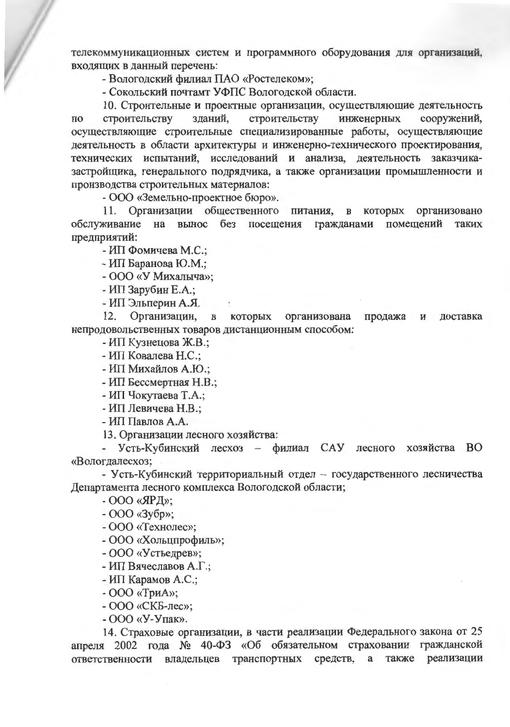телекоммуникационных систем и программного оборудования для организаций, входящих в данный перечень:

- Вологодский филиал ПАО «Ростелеком»;

- Сокольский почтамт УФПС Вологодской области.

10. Строительные и проектные организации, осуществляющие деятельность строительству строительству зданий. инженерных сооружений,  $\Pi$ <sup>O</sup> осуществляющие строительные специализированные работы, осуществляющие деятельность в области архитектуры и инженерно-технического проектирования, технических испытаний, исследований и анализа, деятельность заказчиказастройщика, генерального подрядчика, а также организации промышленности и производства строительных материалов:

- ООО «Земельно-проектное бюро».

11. Организации общественного питания, в которых организовано на вынос без посещения гражданами помещений обслуживание таких предприятий:

- ИП Фомичева М.С.;

- ИП Баранова Ю.М.;

- ООО «У Михальгча»:

- ИП Зарубин Е.А.;

- ИП Эльперин А.Я.

12. Организации. **КОТОРЫХ** организована  $\, {\bf B}$ продажа и доставка непродовольственных товаров дистанционным способом:

- ИП Кузнецова Ж.В.;

- ИП Ковалева Н.С.:

- ИП Михайлов А.Ю.:

- ИП Бессмертная Н.В.;

- ИП Чокутаева Т.А.;

- ИП Левичева Н.В.;

- ИП Павлов А.А.

13. Организации лесного хозяйства:

- Усть-Кубинский лесхоз - филиал САУ лесного хозяйства ВО «Вологдалесхоз;

- Усть-Кубинский территориальный отдел - государственного лесничества Департамента лесного комплекса Вологодской области;

- ООО «ЯРД»:

- ООО «Зубр»;

- ООО «Технолес»;

- ООО «Хольцпрофиль»;

- ООО «Устьедрев»;

- ИП Вячеславов А.Г.:

- ИП Карамов А.С.;

- ООО «ТриА»:

- ООО «СКБ-лес»:

- ООО «У-Упак».

14. Страховые организации, в части реализации Федерального закона от 25 апреля 2002 года № 40-ФЗ «Об обязательном страховании гражданской ответственности владельцев транспортных средств, а также реализации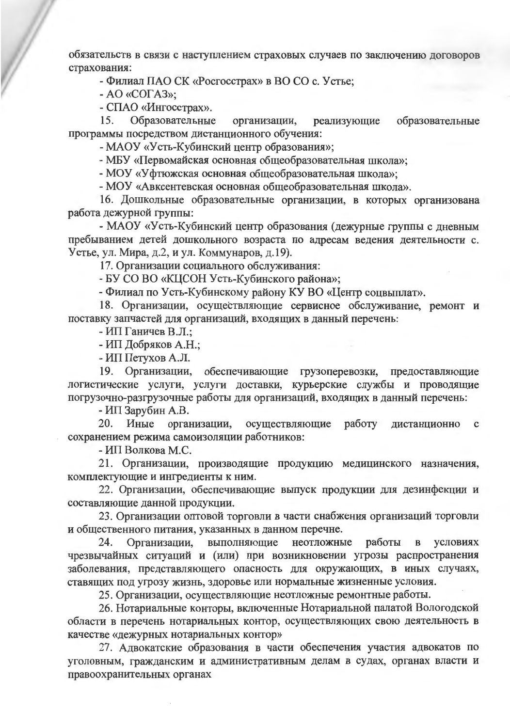обязательств в связи с наступлением страховых случаев по заключению договоров страхования:

- Филиал ПАО СК «Росгосстрах» в ВО СО с. Устье;

- AO «COFA3»;

- СПАО «Ингосстрах».

Образовательные образовательные 15. организации. реализующие программы посредством дистанционного обучения:

- МАОУ «Усть-Кубинский центр образования»;

- МБУ «Первомайская основная общеобразовательная школа»;

- МОУ «Уфтюжская основная общеобразовательная школа»:

- МОУ «Авксентевская основная общеобразовательная школа».

16. Дошкольные образовательные организации, в которых организована работа дежурной группы:

- МАОУ «Усть-Кубинский центр образования (дежурные группы с дневным пребыванием детей дошкольного возраста по адресам ведения деятельности с. Устье, ул. Мира, д.2, и ул. Коммунаров, д.19).

17. Организации социального обслуживания:

- БУ СО ВО «КЦСОН Усть-Кубинского района»;

- Филиал по Усть-Кубинскому району КУ ВО «Центр соцвыплат».

18. Организации, осуществляющие сервисное обслуживание, ремонт и поставку запчастей для организаций, входящих в данный перечень:

- ИП Ганичев В.Л.:

- ИП Добряков А.Н.:

- ИП Петухов А.Л.

19. Организации, обеспечивающие грузоперевозки, предоставляющие логистические услуги, услуги доставки, курьерские службы и проводящие погрузочно-разгрузочные работы для организаций, входящих в данный перечень:

- ИП Зарубин А.В.

20. Иные организации, осуществляющие работу дистанционно  $\mathbf c$ сохранением режима самоизоляции работников:

- ИП Волкова М.С.

21. Организации, производящие продукцию медицинского назначения, комплектующие и ингредиенты к ним.

22. Организации, обеспечивающие выпуск продукции для дезинфекции и составляющие данной продукции.

23. Организации оптовой торговли в части снабжения организаций торговли и общественного питания, указанных в данном перечне.

24. Организации, выполняющие неотложные работы  $\bf{B}$ **VCЛOВИЯХ** чрезвычайных ситуаций и (или) при возникновении угрозы распространения заболевания, представляющего опасность для окружающих, в иных случаях, ставящих под угрозу жизнь, здоровье или нормальные жизненные условия.

25. Организации, осуществляющие неотложные ремонтные работы.

26. Нотариальные конторы, включенные Нотариальной палатой Вологодской области в перечень нотариальных контор, осуществляющих свою деятельность в качестве «дежурных нотариальных контор»

27. Адвокатские образования в части обеспечения участия адвокатов по уголовным, гражданским и административным делам в судах, органах власти и правоохранительных органах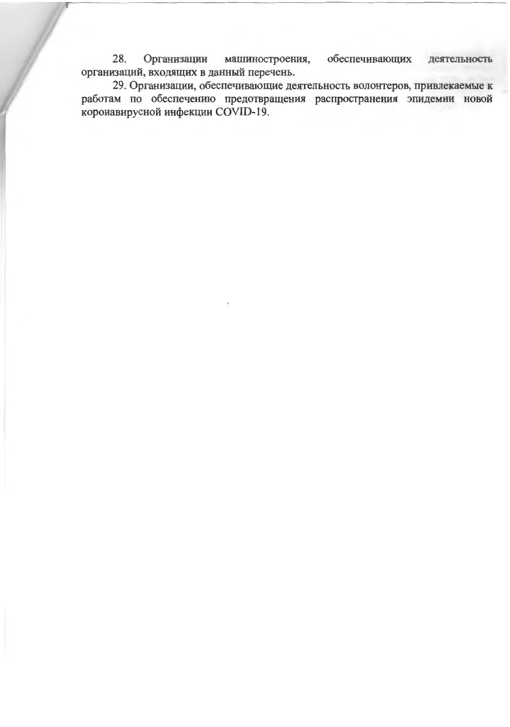28. обеспечивающих Организации машиностроения, деятельность организаций, входящих в данный перечень.

29. Организации, обеспечивающие деятельность волонтеров, привлекаемые к работам по обеспечению предотвращения распространения эпидемии новой коронавирусной инфекции COVID-19.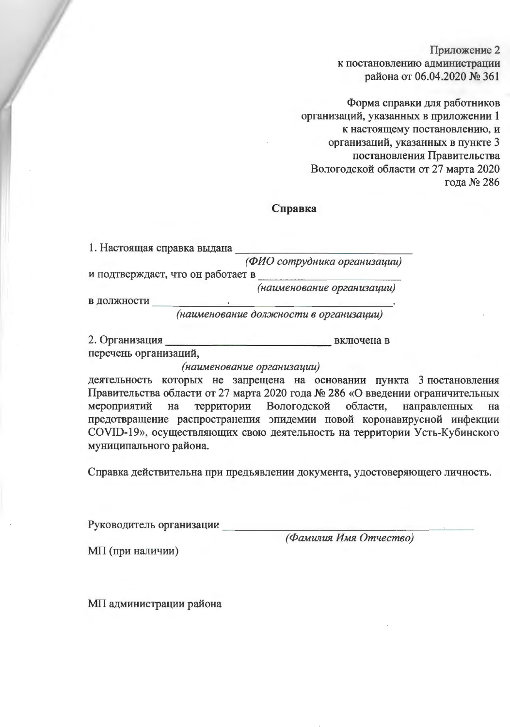Приложение 2 к постановлению администрации района от 06.04.2020 № 361

Форма справки для работников организаций, указанных в приложении 1 к настоящему постановлению, и организаций, указанных в пункте 3 постановления Правительства Вологодской области от 27 марта 2020 гола № 286

#### Справка

| 1. Настоящая справка выдана       |                              |
|-----------------------------------|------------------------------|
|                                   | (ФИО сотрудника организации) |
| и подтверждает, что он работает в |                              |
|                                   | (наименование организации)   |

в должности

2. Организация в ключена в

перечень организаций.

(наименование организации)

деятельность которых не запрещена на основании пункта 3 постановления Правительства области от 27 марта 2020 года № 286 «О введении ограничительных территории Вологодской области, направленных мероприятий на на предотвращение распространения эпидемии новой коронавирусной инфекции COVID-19», осуществляющих свою деятельность на территории Усть-Кубинского муниципального района.

Справка действительна при предъявлении документа, удостоверяющего личность.

Руководитель организации

(Фамилия Имя Отчество)

МП (при наличии)

МП администрации района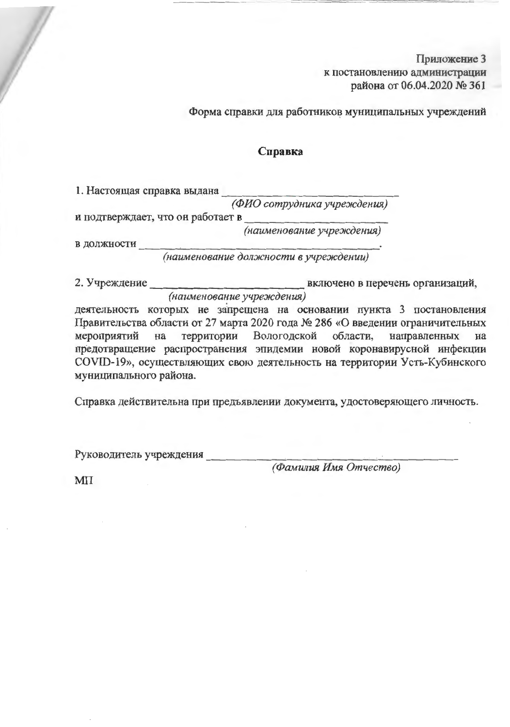Приложение 3 к постановлению администрации района от 06.04.2020 № 361

Форма справки для работников муниципальных учреждений

## Справка

1. Настоящая справка выдана

(ФИО сотрудника учреждения)

и подтверждает, что он работает в

(наименование учреждения)

в должности

(наименование должности в учреждении)

2. Учреждение включено в перечень организаций, (наименование учреждения)

деятельность которых не запрещена на основании пункта 3 постановления Правительства области от 27 марта 2020 года № 286 «О введении ограничительных территории Вологодской области. направленных мероприятий на на предотвращение распространения эпидемии новой коронавирусной инфекции COVID-19», осуществляющих свою деятельность на территории Усть-Кубинского муниципального района.

Справка действительна при предъявлении документа, удостоверяющего личность.

Руководитель учреждения

(Фамилия Имя Отчество)

**MIT**